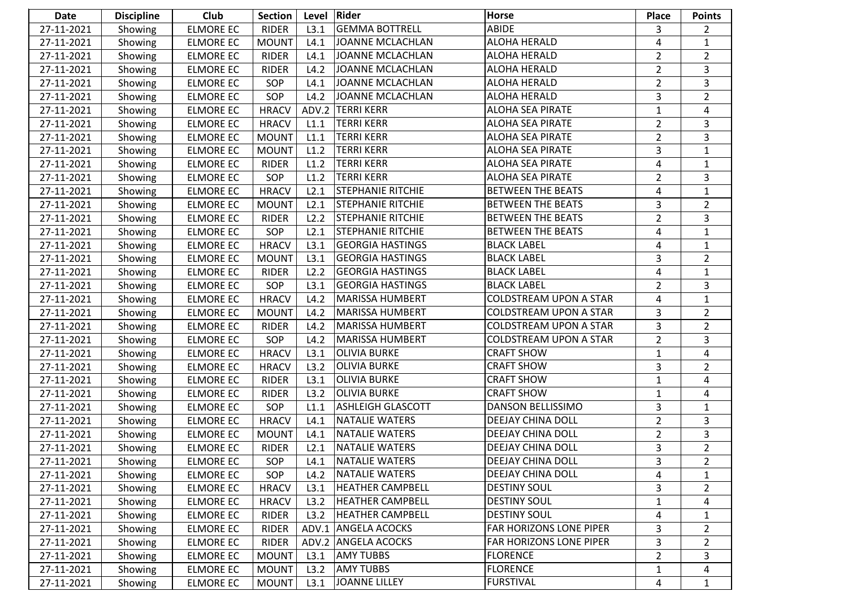| <b>Date</b> | <b>Discipline</b> | Club             | <b>Section</b> | Level | Rider                    | Horse                         | <b>Place</b>   | <b>Points</b>         |
|-------------|-------------------|------------------|----------------|-------|--------------------------|-------------------------------|----------------|-----------------------|
| 27-11-2021  | Showing           | <b>ELMORE EC</b> | <b>RIDER</b>   | L3.1  | <b>GEMMA BOTTRELL</b>    | ABIDE                         | 3              | $\mathbf{2}^{\prime}$ |
| 27-11-2021  | Showing           | <b>ELMORE EC</b> | <b>MOUNT</b>   | L4.1  | JOANNE MCLACHLAN         | ALOHA HERALD                  | 4              | $\mathbf{1}$          |
| 27-11-2021  | Showing           | <b>ELMORE EC</b> | <b>RIDER</b>   | L4.1  | JOANNE MCLACHLAN         | ALOHA HERALD                  | $\overline{2}$ | $\overline{2}$        |
| 27-11-2021  | Showing           | <b>ELMORE EC</b> | <b>RIDER</b>   | L4.2  | <b>JOANNE MCLACHLAN</b>  | ALOHA HERALD                  | $\overline{2}$ | 3                     |
| 27-11-2021  | Showing           | <b>ELMORE EC</b> | SOP            | L4.1  | <b>JOANNE MCLACHLAN</b>  | ALOHA HERALD                  | $\overline{2}$ | 3                     |
| 27-11-2021  | Showing           | <b>ELMORE EC</b> | SOP            | L4.2  | <b>JOANNE MCLACHLAN</b>  | ALOHA HERALD                  | 3              | $\overline{2}$        |
| 27-11-2021  | Showing           | <b>ELMORE EC</b> | <b>HRACV</b>   |       | ADV.2 TERRI KERR         | <b>ALOHA SEA PIRATE</b>       | 1              | 4                     |
| 27-11-2021  | Showing           | <b>ELMORE EC</b> | <b>HRACV</b>   | L1.1  | <b>TERRI KERR</b>        | <b>ALOHA SEA PIRATE</b>       | $\overline{2}$ | 3                     |
| 27-11-2021  | Showing           | <b>ELMORE EC</b> | <b>MOUNT</b>   | L1.1  | <b>TERRI KERR</b>        | <b>ALOHA SEA PIRATE</b>       | $\overline{2}$ | $\overline{3}$        |
| 27-11-2021  | Showing           | <b>ELMORE EC</b> | <b>MOUNT</b>   | L1.2  | <b>TERRI KERR</b>        | <b>ALOHA SEA PIRATE</b>       | 3              | $\mathbf{1}$          |
| 27-11-2021  | Showing           | <b>ELMORE EC</b> | <b>RIDER</b>   | L1.2  | <b>TERRI KERR</b>        | <b>ALOHA SEA PIRATE</b>       | 4              | $\mathbf{1}$          |
| 27-11-2021  | Showing           | <b>ELMORE EC</b> | SOP            | L1.2  | <b>TERRI KERR</b>        | <b>ALOHA SEA PIRATE</b>       | $\overline{2}$ | 3                     |
| 27-11-2021  | Showing           | <b>ELMORE EC</b> | <b>HRACV</b>   | L2.1  | <b>STEPHANIE RITCHIE</b> | <b>BETWEEN THE BEATS</b>      | 4              | $\mathbf{1}$          |
| 27-11-2021  | Showing           | <b>ELMORE EC</b> | <b>MOUNT</b>   | L2.1  | <b>STEPHANIE RITCHIE</b> | <b>BETWEEN THE BEATS</b>      | 3              | $\overline{2}$        |
| 27-11-2021  | Showing           | <b>ELMORE EC</b> | <b>RIDER</b>   | L2.2  | <b>STEPHANIE RITCHIE</b> | <b>BETWEEN THE BEATS</b>      | $\overline{2}$ | 3                     |
| 27-11-2021  | Showing           | <b>ELMORE EC</b> | SOP            | L2.1  | <b>STEPHANIE RITCHIE</b> | <b>BETWEEN THE BEATS</b>      | 4              | $\mathbf{1}$          |
| 27-11-2021  | Showing           | <b>ELMORE EC</b> | <b>HRACV</b>   | L3.1  | <b>GEORGIA HASTINGS</b>  | <b>BLACK LABEL</b>            | 4              | $\mathbf{1}$          |
| 27-11-2021  | Showing           | <b>ELMORE EC</b> | <b>MOUNT</b>   | L3.1  | <b>GEORGIA HASTINGS</b>  | <b>BLACK LABEL</b>            | 3              | $\overline{2}$        |
| 27-11-2021  | Showing           | <b>ELMORE EC</b> | <b>RIDER</b>   | L2.2  | <b>GEORGIA HASTINGS</b>  | <b>BLACK LABEL</b>            | 4              | $\mathbf{1}$          |
| 27-11-2021  | Showing           | <b>ELMORE EC</b> | SOP            | L3.1  | <b>GEORGIA HASTINGS</b>  | <b>BLACK LABEL</b>            | $\overline{2}$ | 3                     |
| 27-11-2021  | Showing           | <b>ELMORE EC</b> | <b>HRACV</b>   | L4.2  | MARISSA HUMBERT          | <b>COLDSTREAM UPON A STAR</b> | 4              | $\mathbf{1}$          |
| 27-11-2021  | Showing           | <b>ELMORE EC</b> | <b>MOUNT</b>   | L4.2  | MARISSA HUMBERT          | <b>COLDSTREAM UPON A STAR</b> | 3              | $\overline{2}$        |
| 27-11-2021  | Showing           | <b>ELMORE EC</b> | <b>RIDER</b>   | L4.2  | MARISSA HUMBERT          | <b>COLDSTREAM UPON A STAR</b> | 3              | $\overline{2}$        |
| 27-11-2021  | Showing           | <b>ELMORE EC</b> | SOP            | L4.2  | MARISSA HUMBERT          | <b>COLDSTREAM UPON A STAR</b> | $\overline{2}$ | 3                     |
| 27-11-2021  | Showing           | <b>ELMORE EC</b> | <b>HRACV</b>   | L3.1  | <b>OLIVIA BURKE</b>      | <b>CRAFT SHOW</b>             | $\mathbf{1}$   | $\overline{4}$        |
| 27-11-2021  | Showing           | <b>ELMORE EC</b> | <b>HRACV</b>   | L3.2  | <b>OLIVIA BURKE</b>      | <b>CRAFT SHOW</b>             | 3              | $\overline{2}$        |
| 27-11-2021  | Showing           | <b>ELMORE EC</b> | <b>RIDER</b>   | L3.1  | <b>OLIVIA BURKE</b>      | <b>CRAFT SHOW</b>             | $\mathbf{1}$   | 4                     |
| 27-11-2021  | Showing           | <b>ELMORE EC</b> | <b>RIDER</b>   | L3.2  | <b>OLIVIA BURKE</b>      | <b>CRAFT SHOW</b>             | 1              | 4                     |
| 27-11-2021  | Showing           | <b>ELMORE EC</b> | SOP            | L1.1  | <b>ASHLEIGH GLASCOTT</b> | DANSON BELLISSIMO             | 3              | $\mathbf{1}$          |
| 27-11-2021  | Showing           | <b>ELMORE EC</b> | <b>HRACV</b>   | L4.1  | NATALIE WATERS           | DEEJAY CHINA DOLL             | $\overline{2}$ | $\overline{3}$        |
| 27-11-2021  | Showing           | <b>ELMORE EC</b> | <b>MOUNT</b>   | L4.1  | NATALIE WATERS           | DEEJAY CHINA DOLL             | $\overline{2}$ | 3                     |
| 27-11-2021  | Showing           | <b>ELMORE EC</b> | <b>RIDER</b>   | L2.1  | NATALIE WATERS           | DEEJAY CHINA DOLL             | 3              | $\overline{2}$        |
| 27-11-2021  | Showing           | <b>ELMORE EC</b> | SOP            | L4.1  | NATALIE WATERS           | <b>DEEJAY CHINA DOLL</b>      | 3              | $\overline{2}$        |
| 27-11-2021  | Showing           | <b>ELMORE EC</b> | SOP            | L4.2  | NATALIE WATERS           | DEEJAY CHINA DOLL             | 4              | $\mathbf{1}$          |
| 27-11-2021  | Showing           | <b>ELMORE EC</b> | <b>HRACV</b>   | L3.1  | <b>HEATHER CAMPBELL</b>  | <b>DESTINY SOUL</b>           | 3              | $\mathbf{2}^{\prime}$ |
| 27-11-2021  | Showing           | <b>ELMORE EC</b> | <b>HRACV</b>   | L3.2  | <b>HEATHER CAMPBELL</b>  | <b>DESTINY SOUL</b>           | 1              | 4                     |
| 27-11-2021  | Showing           | <b>ELMORE EC</b> | <b>RIDER</b>   | L3.2  | <b>HEATHER CAMPBELL</b>  | <b>DESTINY SOUL</b>           | 4              | $\mathbf{1}$          |
| 27-11-2021  | Showing           | <b>ELMORE EC</b> | <b>RIDER</b>   |       | ADV.1 ANGELA ACOCKS      | FAR HORIZONS LONE PIPER       | 3              | $\overline{2}$        |
| 27-11-2021  | Showing           | <b>ELMORE EC</b> | <b>RIDER</b>   |       | ADV.2 ANGELA ACOCKS      | FAR HORIZONS LONE PIPER       | 3              | 2                     |
| 27-11-2021  | Showing           | <b>ELMORE EC</b> | <b>MOUNT</b>   | L3.1  | <b>AMY TUBBS</b>         | <b>FLORENCE</b>               | $\overline{2}$ | 3                     |
| 27-11-2021  | Showing           | <b>ELMORE EC</b> | <b>MOUNT</b>   | L3.2  | <b>AMY TUBBS</b>         | FLORENCE                      | $\mathbf{1}$   | 4                     |
| 27-11-2021  | Showing           | <b>ELMORE EC</b> | <b>MOUNT</b>   | L3.1  | JOANNE LILLEY            | FURSTIVAL                     | 4              | $\mathbf{1}$          |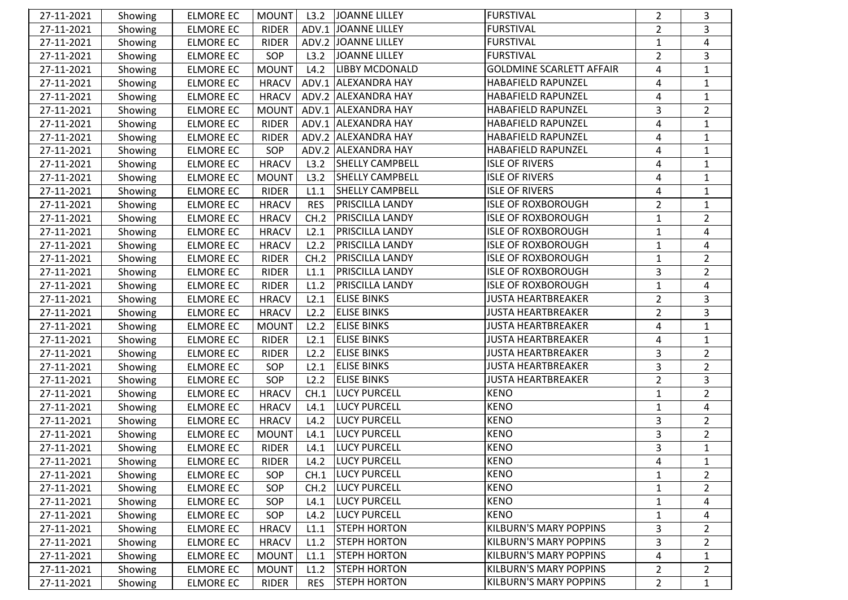| 27-11-2021 | Showing | <b>ELMORE EC</b> | <b>MOUNT</b> | L3.2       | JOANNE LILLEY          | FURSTIVAL                       | $\overline{2}$ | 3              |
|------------|---------|------------------|--------------|------------|------------------------|---------------------------------|----------------|----------------|
| 27-11-2021 | Showing | <b>ELMORE EC</b> | <b>RIDER</b> | ADV.1      | JOANNE LILLEY          | <b>FURSTIVAL</b>                | $\overline{2}$ | 3              |
| 27-11-2021 | Showing | <b>ELMORE EC</b> | <b>RIDER</b> |            | ADV.2 JOANNE LILLEY    | <b>FURSTIVAL</b>                | $\mathbf{1}$   | 4              |
| 27-11-2021 | Showing | <b>ELMORE EC</b> | SOP          | L3.2       | JOANNE LILLEY          | <b>FURSTIVAL</b>                | $\overline{2}$ | 3              |
| 27-11-2021 | Showing | <b>ELMORE EC</b> | <b>MOUNT</b> | L4.2       | <b>LIBBY MCDONALD</b>  | <b>GOLDMINE SCARLETT AFFAIR</b> | 4              | $\mathbf{1}$   |
| 27-11-2021 | Showing | <b>ELMORE EC</b> | <b>HRACV</b> | ADV.1      | <b>ALEXANDRA HAY</b>   | HABAFIELD RAPUNZEL              | 4              | $\mathbf{1}$   |
| 27-11-2021 | Showing | <b>ELMORE EC</b> | <b>HRACV</b> |            | ADV.2 ALEXANDRA HAY    | HABAFIELD RAPUNZEL              | 4              | $\mathbf{1}$   |
| 27-11-2021 | Showing | <b>ELMORE EC</b> | <b>MOUNT</b> |            | ADV.1 ALEXANDRA HAY    | HABAFIELD RAPUNZEL              | 3              | $\overline{2}$ |
| 27-11-2021 | Showing | <b>ELMORE EC</b> | <b>RIDER</b> |            | ADV.1 ALEXANDRA HAY    | HABAFIELD RAPUNZEL              | 4              | $\mathbf{1}$   |
| 27-11-2021 | Showing | <b>ELMORE EC</b> | <b>RIDER</b> |            | ADV.2 ALEXANDRA HAY    | HABAFIELD RAPUNZEL              | 4              | $\mathbf{1}$   |
| 27-11-2021 | Showing | <b>ELMORE EC</b> | SOP          |            | ADV.2 ALEXANDRA HAY    | HABAFIELD RAPUNZEL              | 4              | $\mathbf{1}$   |
| 27-11-2021 | Showing | <b>ELMORE EC</b> | <b>HRACV</b> | L3.2       | <b>SHELLY CAMPBELL</b> | <b>ISLE OF RIVERS</b>           | 4              | $\mathbf{1}$   |
| 27-11-2021 | Showing | <b>ELMORE EC</b> | <b>MOUNT</b> | L3.2       | <b>SHELLY CAMPBELL</b> | <b>ISLE OF RIVERS</b>           | 4              | $\mathbf{1}$   |
| 27-11-2021 | Showing | <b>ELMORE EC</b> | <b>RIDER</b> | L1.1       | <b>SHELLY CAMPBELL</b> | <b>ISLE OF RIVERS</b>           | 4              | $\mathbf{1}$   |
| 27-11-2021 | Showing | <b>ELMORE EC</b> | <b>HRACV</b> | <b>RES</b> | <b>PRISCILLA LANDY</b> | <b>ISLE OF ROXBOROUGH</b>       | $\overline{2}$ | $\mathbf{1}$   |
| 27-11-2021 | Showing | <b>ELMORE EC</b> | <b>HRACV</b> | CH.2       | <b>PRISCILLA LANDY</b> | <b>ISLE OF ROXBOROUGH</b>       | $\mathbf{1}$   | $\overline{2}$ |
| 27-11-2021 | Showing | <b>ELMORE EC</b> | <b>HRACV</b> | L2.1       | <b>PRISCILLA LANDY</b> | <b>ISLE OF ROXBOROUGH</b>       | $\mathbf{1}$   | 4              |
| 27-11-2021 | Showing | <b>ELMORE EC</b> | <b>HRACV</b> | L2.2       | <b>PRISCILLA LANDY</b> | <b>ISLE OF ROXBOROUGH</b>       | $\mathbf{1}$   | $\overline{4}$ |
| 27-11-2021 | Showing | <b>ELMORE EC</b> | <b>RIDER</b> | CH.2       | <b>PRISCILLA LANDY</b> | <b>ISLE OF ROXBOROUGH</b>       | 1              | $\overline{2}$ |
| 27-11-2021 | Showing | <b>ELMORE EC</b> | <b>RIDER</b> | L1.1       | <b>PRISCILLA LANDY</b> | <b>ISLE OF ROXBOROUGH</b>       | 3              | $\overline{2}$ |
| 27-11-2021 | Showing | <b>ELMORE EC</b> | <b>RIDER</b> | L1.2       | <b>PRISCILLA LANDY</b> | <b>ISLE OF ROXBOROUGH</b>       | $\mathbf 1$    | 4              |
| 27-11-2021 | Showing | <b>ELMORE EC</b> | <b>HRACV</b> | L2.1       | <b>ELISE BINKS</b>     | <b>JUSTA HEARTBREAKER</b>       | $\overline{2}$ | 3              |
| 27-11-2021 | Showing | <b>ELMORE EC</b> | <b>HRACV</b> | L2.2       | <b>ELISE BINKS</b>     | <b>JUSTA HEARTBREAKER</b>       | $\overline{2}$ | 3              |
| 27-11-2021 | Showing | <b>ELMORE EC</b> | <b>MOUNT</b> | L2.2       | <b>ELISE BINKS</b>     | <b>JUSTA HEARTBREAKER</b>       | 4              | $\mathbf{1}$   |
| 27-11-2021 | Showing | <b>ELMORE EC</b> | <b>RIDER</b> | L2.1       | <b>ELISE BINKS</b>     | <b>JUSTA HEARTBREAKER</b>       | 4              | $\mathbf{1}$   |
| 27-11-2021 | Showing | <b>ELMORE EC</b> | <b>RIDER</b> | L2.2       | <b>ELISE BINKS</b>     | <b>JUSTA HEARTBREAKER</b>       | 3              | $\overline{2}$ |
| 27-11-2021 | Showing | <b>ELMORE EC</b> | <b>SOP</b>   | L2.1       | <b>ELISE BINKS</b>     | <b>JUSTA HEARTBREAKER</b>       | 3              | $\overline{2}$ |
| 27-11-2021 | Showing | <b>ELMORE EC</b> | SOP          | L2.2       | <b>ELISE BINKS</b>     | <b>JUSTA HEARTBREAKER</b>       | $\overline{2}$ | $\overline{3}$ |
| 27-11-2021 | Showing | <b>ELMORE EC</b> | <b>HRACV</b> | CH.1       | <b>LUCY PURCELL</b>    | <b>KENO</b>                     | $\mathbf{1}$   | $\overline{2}$ |
| 27-11-2021 | Showing | <b>ELMORE EC</b> | <b>HRACV</b> | L4.1       | <b>LUCY PURCELL</b>    | <b>KENO</b>                     | 1              | 4              |
| 27-11-2021 | Showing | <b>ELMORE EC</b> | <b>HRACV</b> | L4.2       | <b>LUCY PURCELL</b>    | <b>KENO</b>                     | 3              | $\overline{2}$ |
| 27-11-2021 | Showing | <b>ELMORE EC</b> | <b>MOUNT</b> | L4.1       | <b>LUCY PURCELL</b>    | <b>KENO</b>                     | 3              | $\overline{2}$ |
| 27-11-2021 | Showing | <b>ELMORE EC</b> | <b>RIDER</b> | L4.1       | <b>LUCY PURCELL</b>    | <b>KENO</b>                     | 3              | $\mathbf{1}$   |
| 27-11-2021 | Showing | <b>ELMORE EC</b> | RIDER        |            | L4.2 LUCY PURCELL      | KENO                            | 4              | $\mathbf{1}$   |
| 27-11-2021 | Showing | <b>ELMORE EC</b> | SOP          | CH.1       | <b>LUCY PURCELL</b>    | <b>KENO</b>                     | 1              | $\overline{2}$ |
| 27-11-2021 | Showing | <b>ELMORE EC</b> | SOP          | CH.2       | <b>LUCY PURCELL</b>    | <b>KENO</b>                     | 1              | $\overline{2}$ |
| 27-11-2021 | Showing | <b>ELMORE EC</b> | SOP          | L4.1       | <b>LUCY PURCELL</b>    | <b>KENO</b>                     | 1              | 4              |
| 27-11-2021 | Showing | <b>ELMORE EC</b> | SOP          | L4.2       | <b>LUCY PURCELL</b>    | <b>KENO</b>                     | $\mathbf{1}$   | 4              |
| 27-11-2021 | Showing | <b>ELMORE EC</b> | <b>HRACV</b> | L1.1       | <b>STEPH HORTON</b>    | <b>KILBURN'S MARY POPPINS</b>   | 3              | $\overline{2}$ |
| 27-11-2021 | Showing | <b>ELMORE EC</b> | <b>HRACV</b> | L1.2       | <b>STEPH HORTON</b>    | <b>KILBURN'S MARY POPPINS</b>   | 3              | $\overline{2}$ |
| 27-11-2021 | Showing | <b>ELMORE EC</b> | <b>MOUNT</b> | L1.1       | <b>STEPH HORTON</b>    | <b>KILBURN'S MARY POPPINS</b>   | 4              | $\mathbf{1}$   |
| 27-11-2021 | Showing | <b>ELMORE EC</b> | <b>MOUNT</b> | L1.2       | <b>STEPH HORTON</b>    | <b>KILBURN'S MARY POPPINS</b>   | $\overline{2}$ | $\overline{2}$ |
| 27-11-2021 | Showing | <b>ELMORE EC</b> | <b>RIDER</b> | <b>RES</b> | <b>STEPH HORTON</b>    | <b>KILBURN'S MARY POPPINS</b>   | $\overline{2}$ | $\mathbf{1}$   |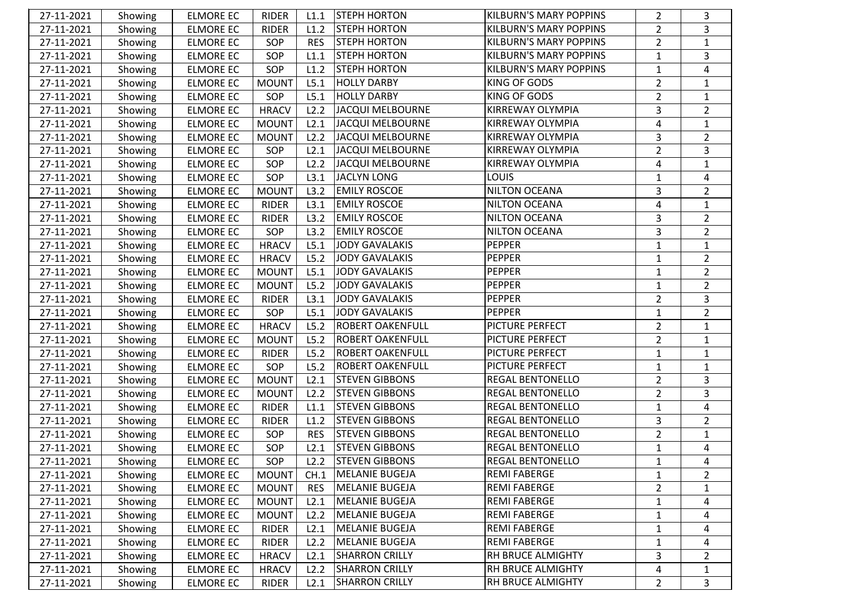| 27-11-2021 | Showing | <b>ELMORE EC</b> | <b>RIDER</b> | L1.1       | <b>STEPH HORTON</b>     | <b>KILBURN'S MARY POPPINS</b> | $\overline{2}$ | 3              |
|------------|---------|------------------|--------------|------------|-------------------------|-------------------------------|----------------|----------------|
| 27-11-2021 | Showing | <b>ELMORE EC</b> | <b>RIDER</b> | L1.2       | <b>STEPH HORTON</b>     | <b>KILBURN'S MARY POPPINS</b> | $\overline{2}$ | 3              |
| 27-11-2021 | Showing | <b>ELMORE EC</b> | SOP          | <b>RES</b> | <b>STEPH HORTON</b>     | <b>KILBURN'S MARY POPPINS</b> | $\overline{2}$ | $\mathbf{1}$   |
| 27-11-2021 | Showing | <b>ELMORE EC</b> | SOP          | L1.1       | <b>STEPH HORTON</b>     | <b>KILBURN'S MARY POPPINS</b> | $\mathbf{1}$   | 3              |
| 27-11-2021 | Showing | <b>ELMORE EC</b> | SOP          | L1.2       | <b>STEPH HORTON</b>     | <b>KILBURN'S MARY POPPINS</b> | $\mathbf{1}$   | 4              |
| 27-11-2021 | Showing | <b>ELMORE EC</b> | <b>MOUNT</b> | L5.1       | HOLLY DARBY             | KING OF GODS                  | $\overline{2}$ | $\mathbf{1}$   |
| 27-11-2021 | Showing | <b>ELMORE EC</b> | SOP          | L5.1       | <b>HOLLY DARBY</b>      | KING OF GODS                  | $\overline{2}$ | $\mathbf{1}$   |
| 27-11-2021 | Showing | ELMORE EC        | <b>HRACV</b> | L2.2       | JACQUI MELBOURNE        | KIRREWAY OLYMPIA              | 3              | $\overline{2}$ |
| 27-11-2021 | Showing | <b>ELMORE EC</b> | <b>MOUNT</b> | L2.1       | JACQUI MELBOURNE        | KIRREWAY OLYMPIA              | $\overline{a}$ | $\mathbf{1}$   |
| 27-11-2021 | Showing | <b>ELMORE EC</b> | <b>MOUNT</b> | L2.2       | JACQUI MELBOURNE        | KIRREWAY OLYMPIA              | 3              | $\overline{2}$ |
| 27-11-2021 | Showing | <b>ELMORE EC</b> | SOP          | L2.1       | JACQUI MELBOURNE        | KIRREWAY OLYMPIA              | $\overline{2}$ | 3              |
| 27-11-2021 | Showing | <b>ELMORE EC</b> | SOP          | L2.2       | JACQUI MELBOURNE        | KIRREWAY OLYMPIA              | 4              | $\mathbf{1}$   |
| 27-11-2021 | Showing | <b>ELMORE EC</b> | SOP          | L3.1       | JACLYN LONG             | <b>LOUIS</b>                  | $\mathbf{1}$   | 4              |
| 27-11-2021 | Showing | <b>ELMORE EC</b> | <b>MOUNT</b> | L3.2       | <b>EMILY ROSCOE</b>     | NILTON OCEANA                 | 3              | $\overline{2}$ |
| 27-11-2021 | Showing | <b>ELMORE EC</b> | <b>RIDER</b> | L3.1       | <b>EMILY ROSCOE</b>     | <b>NILTON OCEANA</b>          | 4              | $\mathbf{1}$   |
| 27-11-2021 | Showing | <b>ELMORE EC</b> | <b>RIDER</b> | L3.2       | <b>EMILY ROSCOE</b>     | <b>NILTON OCEANA</b>          | 3              | $\overline{2}$ |
| 27-11-2021 | Showing | <b>ELMORE EC</b> | SOP          | L3.2       | <b>EMILY ROSCOE</b>     | <b>NILTON OCEANA</b>          | 3              | $\overline{2}$ |
| 27-11-2021 | Showing | <b>ELMORE EC</b> | <b>HRACV</b> | L5.1       | JODY GAVALAKIS          | PEPPER                        | 1              | $\mathbf{1}$   |
| 27-11-2021 | Showing | ELMORE EC        | <b>HRACV</b> | L5.2       | JODY GAVALAKIS          | <b>PEPPER</b>                 | 1              | $\overline{2}$ |
| 27-11-2021 | Showing | <b>ELMORE EC</b> | <b>MOUNT</b> | L5.1       | JODY GAVALAKIS          | <b>PEPPER</b>                 | $\mathbf{1}$   | $\overline{2}$ |
| 27-11-2021 | Showing | <b>ELMORE EC</b> | <b>MOUNT</b> | L5.2       | JODY GAVALAKIS          | <b>PEPPER</b>                 | $\mathbf{1}$   | $\overline{2}$ |
| 27-11-2021 | Showing | <b>ELMORE EC</b> | <b>RIDER</b> | L3.1       | JODY GAVALAKIS          | PEPPER                        | $\overline{2}$ | 3              |
| 27-11-2021 | Showing | <b>ELMORE EC</b> | SOP          | L5.1       | <b>JODY GAVALAKIS</b>   | <b>PEPPER</b>                 | 1              | $\overline{2}$ |
| 27-11-2021 | Showing | <b>ELMORE EC</b> | <b>HRACV</b> | L5.2       | <b>ROBERT OAKENFULL</b> | PICTURE PERFECT               | $\overline{2}$ | $\mathbf{1}$   |
| 27-11-2021 | Showing | <b>ELMORE EC</b> | <b>MOUNT</b> | L5.2       | <b>ROBERT OAKENFULL</b> | PICTURE PERFECT               | $\overline{2}$ | $\mathbf{1}$   |
| 27-11-2021 | Showing | <b>ELMORE EC</b> | <b>RIDER</b> | L5.2       | <b>ROBERT OAKENFULL</b> | <b>PICTURE PERFECT</b>        | $\mathbf{1}$   | $\mathbf{1}$   |
| 27-11-2021 | Showing | <b>ELMORE EC</b> | SOP          | L5.2       | <b>ROBERT OAKENFULL</b> | PICTURE PERFECT               | 1              | $\mathbf{1}$   |
| 27-11-2021 | Showing | <b>ELMORE EC</b> | <b>MOUNT</b> | L2.1       | <b>STEVEN GIBBONS</b>   | <b>REGAL BENTONELLO</b>       | $\overline{2}$ | 3              |
| 27-11-2021 | Showing | <b>ELMORE EC</b> | <b>MOUNT</b> | L2.2       | <b>STEVEN GIBBONS</b>   | <b>REGAL BENTONELLO</b>       | $\overline{2}$ | 3              |
| 27-11-2021 | Showing | <b>ELMORE EC</b> | <b>RIDER</b> | L1.1       | <b>STEVEN GIBBONS</b>   | <b>REGAL BENTONELLO</b>       | $\mathbf{1}$   | 4              |
| 27-11-2021 | Showing | <b>ELMORE EC</b> | <b>RIDER</b> | L1.2       | <b>STEVEN GIBBONS</b>   | <b>REGAL BENTONELLO</b>       | 3              | $\overline{2}$ |
| 27-11-2021 | Showing | <b>ELMORE EC</b> | SOP          | <b>RES</b> | <b>STEVEN GIBBONS</b>   | <b>REGAL BENTONELLO</b>       | $\overline{2}$ | $\mathbf{1}$   |
| 27-11-2021 | Showing | <b>ELMORE EC</b> | SOP          | L2.1       | <b>STEVEN GIBBONS</b>   | <b>REGAL BENTONELLO</b>       | $\mathbf{1}$   | 4              |
| 27-11-2021 | Showing | <b>ELMORE EC</b> | SOP          | L2.2       | <b>STEVEN GIBBONS</b>   | <b>REGAL BENTONELLO</b>       | $\mathbf{1}$   | 4              |
| 27-11-2021 | Showing | <b>ELMORE EC</b> | <b>MOUNT</b> | CH.1       | <b>MELANIE BUGEJA</b>   | <b>REMI FABERGE</b>           | 1              | $\overline{2}$ |
| 27-11-2021 | Showing | <b>ELMORE EC</b> | <b>MOUNT</b> | <b>RES</b> | MELANIE BUGEJA          | <b>REMI FABERGE</b>           | $\overline{a}$ | $\mathbf{1}$   |
| 27-11-2021 | Showing | <b>ELMORE EC</b> | <b>MOUNT</b> | L2.1       | MELANIE BUGEJA          | <b>REMI FABERGE</b>           | $\mathbf{1}$   | 4              |
| 27-11-2021 | Showing | <b>ELMORE EC</b> | <b>MOUNT</b> | L2.2       | MELANIE BUGEJA          | <b>REMI FABERGE</b>           | $\mathbf{1}$   | 4              |
| 27-11-2021 | Showing | <b>ELMORE EC</b> | <b>RIDER</b> | L2.1       | MELANIE BUGEJA          | <b>REMI FABERGE</b>           | 1              | 4              |
| 27-11-2021 | Showing | <b>ELMORE EC</b> | <b>RIDER</b> | L2.2       | MELANIE BUGEJA          | <b>REMI FABERGE</b>           | 1              | 4              |
| 27-11-2021 | Showing | <b>ELMORE EC</b> | <b>HRACV</b> | L2.1       | <b>SHARRON CRILLY</b>   | RH BRUCE ALMIGHTY             | 3              | $\overline{2}$ |
| 27-11-2021 | Showing | <b>ELMORE EC</b> | <b>HRACV</b> | L2.2       | <b>SHARRON CRILLY</b>   | RH BRUCE ALMIGHTY             | 4              | $\mathbf{1}$   |
| 27-11-2021 | Showing | <b>ELMORE EC</b> | <b>RIDER</b> | L2.1       | <b>SHARRON CRILLY</b>   | RH BRUCE ALMIGHTY             | $\overline{2}$ | 3              |